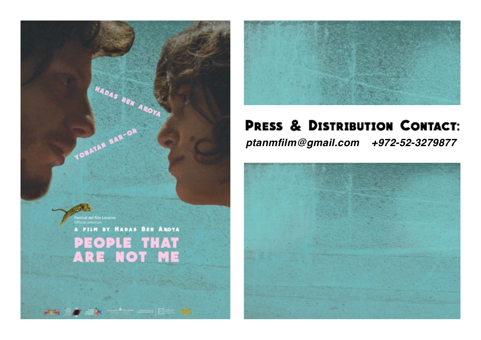



### **PRESS & DISTRIBUTION CONTACT: ptanmfilm@gmail.com +972-52-3279877**

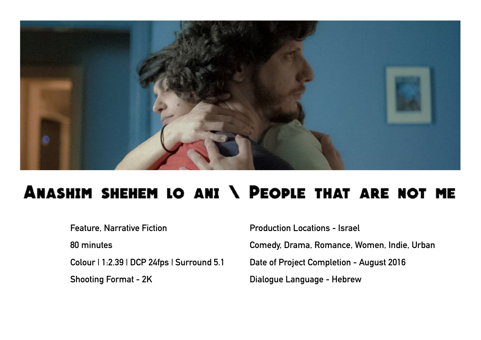

### ANASHIM SHEHEM LO ANI \ PEOPLE THAT ARE NOT ME

**Feature, Narrative Fiction**

**80 minutes**

**Colour | 1:2.39 | DCP 24fps | Surround 5.1**

**Shooting Format - 2K**

**Production Locations - Israel Comedy, Drama, Romance, Women, Indie, Urban Date of Project Completion - August 2016 Dialogue Language - Hebrew**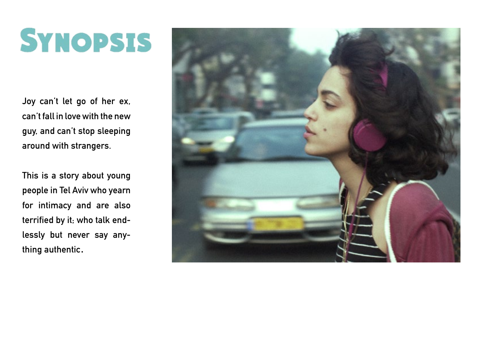## **SYNOPSIS**

**Joy can't let go of her ex, can't fall in love with the new guy, and can't stop sleeping around with strangers.**

**This is a story about young people in Tel Aviv who yearn for intimacy and are also terrified by it; who talk endlessly but never say anything authentic**.

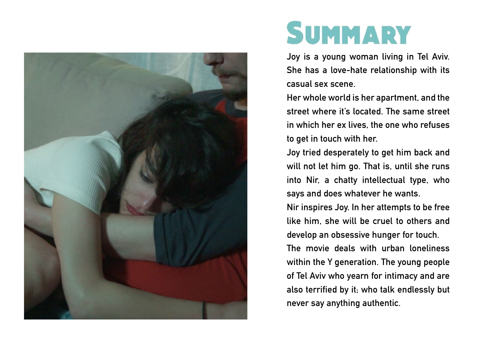

## **SUMMARY**

**Joy is a young woman living in Tel Aviv. She has a love-hate relationship with its casual sex scene.**

**Her whole world is her apartment, and the street where it's located. The same street in which her ex lives, the one who refuses to get in touch with her.**

**Joy tried desperately to get him back and will not let him go. That is, until she runs into Nir, a chatty intellectual type, who says and does whatever he wants.**

**Nir inspires Joy. In her attempts to be free like him, she will be cruel to others and develop an obsessive hunger for touch.**

**The movie deals with urban loneliness within the Y generation. The young people of Tel Aviv who yearn for intimacy and are also terrified by it; who talk endlessly but never say anything authentic.**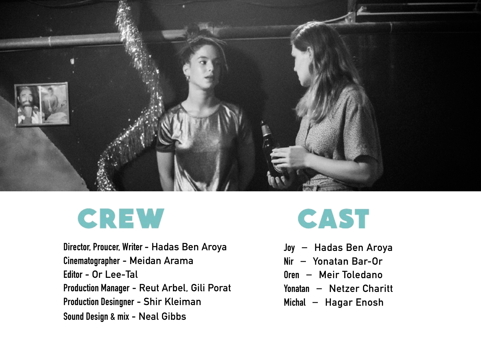

## **CREW**

**Director, Proucer, Writer - Hadas Ben Aroya Cinematographer - Meidan Arama Editor - Or Lee-Tal Production Manager - Reut Arbel, Gili Porat Production Desingner - Shir Kleiman Sound Design & mix - Neal Gibbs**

### **CAST**

- **Joy Hadas Ben Aroya**
- **Nir Yonatan Bar-Or**
- **Oren Meir Toledano**
- **Yonatan Netzer Charitt**
- **Michal Hagar Enosh**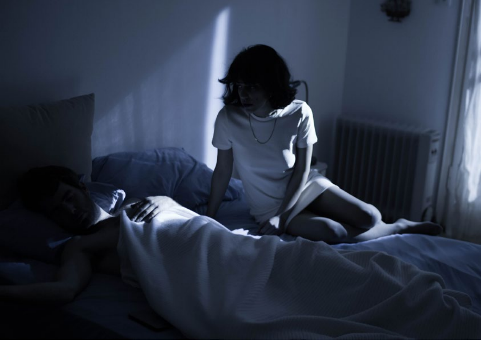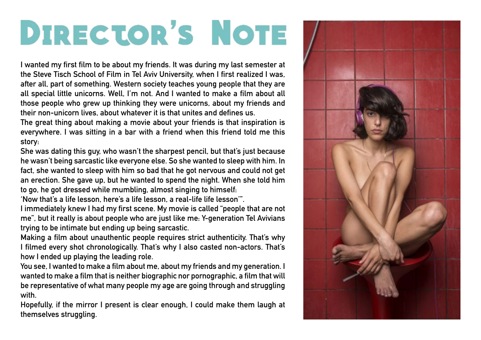# **DIRECTOR'S NOTE**

**I wanted my first film to be about my friends. It was during my last semester at the Steve Tisch School of Film in Tel Aviv University, when I first realized I was, after all, part of something. Western society teaches young people that they are all special little unicorns. Well, I'm not. And I wanted to make a film about all those people who grew up thinking they were unicorns, about my friends and their non-unicorn lives, about whatever it is that unites and defines us.**

**The great thing about making a movie about your friends is that inspiration is everywhere. I was sitting in a bar with a friend when this friend told me this story:**

**She was dating this guy, who wasn't the sharpest pencil, but that's just because he wasn't being sarcastic like everyone else. So she wanted to sleep with him. In fact, she wanted to sleep with him so bad that he got nervous and could not get an erection. She gave up, but he wanted to spend the night. When she told him to go, he got dressed while mumbling, almost singing to himself:**

**'Now that's a life lesson, here's a life lesson, a real-life life lesson'".**

**I immediately knew I had my first scene. My movie is called "people that are not me", but it really is about people who are just like me: Y-generation Tel Avivians trying to be intimate but ending up being sarcastic.**

**Making a film about unauthentic people requires strict authenticity. That's why I filmed every shot chronologically. That's why I also casted non-actors. That's how I ended up playing the leading role.**

**You see, I wanted to make a film about me, about my friends and my generation. I wanted to make a film that is neither biographic nor pornographic, a film that will be representative of what many people my age are going through and struggling with.**

**Hopefully, if the mirror I present is clear enough, I could make them laugh at themselves struggling.**

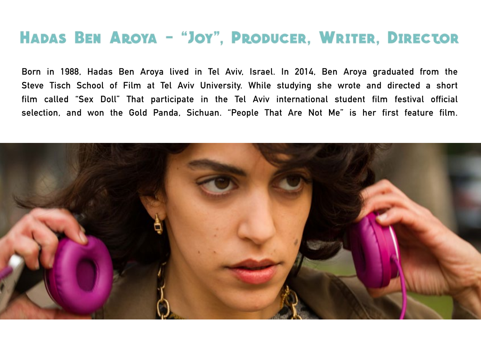### HADAS BEN AROYA - "JOY", PRODUCER, WRITER, DIRECTOR

**Born in 1988, Hadas Ben Aroya lived in Tel Aviv, Israel. In 2014, Ben Aroya graduated from the Steve Tisch School of Film at Tel Aviv University. While studying she wrote and directed a short film called "Sex Doll" That participate in the Tel Aviv international student film festival official selection, and won the Gold Panda, Sichuan. "People That Are Not Me" is her first feature film.** 

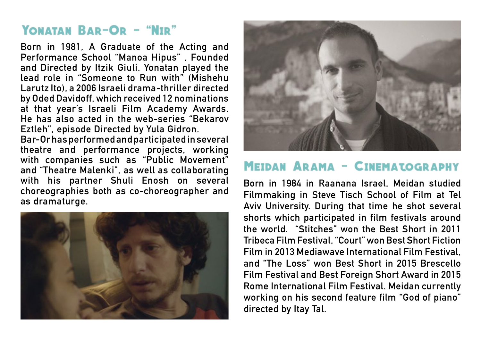#### YONATAN BAR-OR - "NIR"

**Born in 1981, A Graduate of the Acting and Performance School "Manoa Hipus" , Founded and Directed by Itzik Giuli. Yonatan played the lead role in "Someone to Run with" (Mishehu Larutz Ito), a 2006 Israeli drama-thriller directed by Oded Davidoff, which received 12 nominations at that year's Israeli Film Academy Awards. He has also acted in the web-series "Bekarov Eztleh", episode Directed by Yula Gidron. Bar-Or has performed and participated in several theatre and performance projects, working with companies such as "Public Movement" and "Theatre Malenki", as well as collaborating** 

**with his partner Shuli Enosh on several choreographies both as co-choreographer and as dramaturge.**





#### **MEIDAN ARAMA - CINEMATOGRAPHY**

**Born in 1984 in Raanana Israel, Meidan studied Filmmaking in Steve Tisch School of Film at Tel Aviv University. During that time he shot several shorts which participated in film festivals around the world. "Stitches" won the Best Short in 2011 Tribeca Film Festival, "Court" won Best Short Fiction Film in 2013 Mediawave International Film Festival, and "The Loss" won Best Short in 2015 Brescello Film Festival and Best Foreign Short Award in 2015 Rome International Film Festival. Meidan currently working on his second feature film "God of piano" directed by Itay Tal.**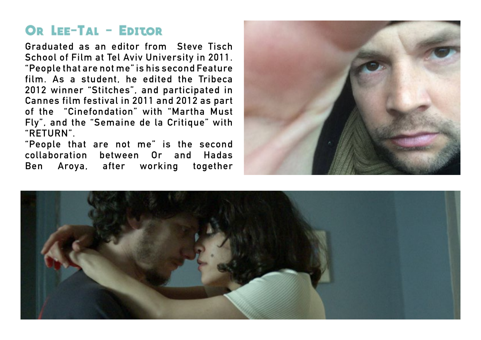### **OR LEE-TAL - EDITOR**

**Graduated as an editor from Steve Tisch School of Film at Tel Aviv University in 2011. "People that are not me" is his second Feature film. As a student, he edited the Tribeca 2012 winner "Stitches", and participated in Cannes film festival in 2011 and 2012 as part of the "Cinefondation" with "Martha Must Fly", and the "Semaine de la Critique" with "RETURN".**

**"People that are not me" is the second collaboration between Or and Hadas Ben Aroya, after working together**